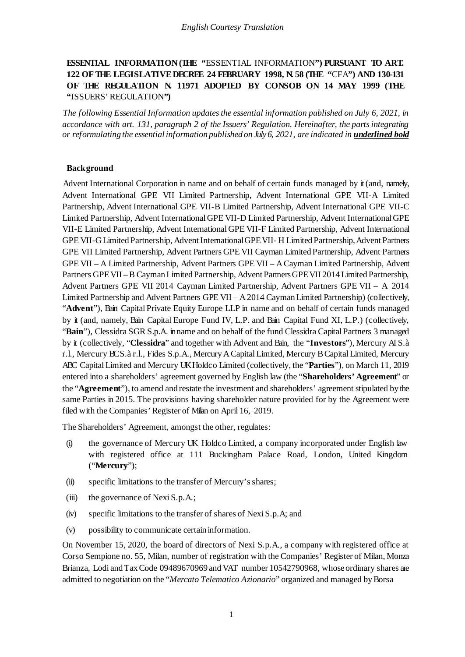## **ESSENTIAL INFORMATION (THE "**ESSENTIAL INFORMATION**") PURSUANT TO ART. 122 OF THE LEGISLATIVE DECREE 24 FEBRUARY 1998, N. 58 (THE "**CFA**") AND 130-131 OF THE REGULATION N. 11971 ADOPTED BY CONSOB ON 14 MAY 1999 (THE "**ISSUERS' REGULATION**")**

*The following Essential Information updates the essential information published on July 6, 2021, in accordance with art. 131, paragraph 2 of the Issuers' Regulation. Hereinafter, the parts integrating or reformulating the essential information published on July 6, 2021, are indicated in underlined bold*

#### **Background**

Advent International Corporation in name and on behalf of certain funds managed by it (and, namely, Advent International GPE VII Limited Partnership, Advent International GPE VII-A Limited Partnership, Advent International GPE VII-B Limited Partnership, Advent International GPE VII-C Limited Partnership, Advent International GPE VII-D Limited Partnership, Advent International GPE VII-E Limited Partnership, Advent International GPE VII-F Limited Partnership, Advent International GPE VII-G Limited Partnership, Advent International GPE VII- H Limited Partnership, Advent Partners GPE VII Limited Partnership, Advent Partners GPE VII Cayman Limited Partnership, Advent Partners GPE VII – A Limited Partnership, Advent Partners GPE VII – A Cayman Limited Partnership, Advent Partners GPE VII –B Cayman Limited Partnership, Advent Partners GPE VII 2014 Limited Partnership, Advent Partners GPE VII 2014 Cayman Limited Partnership, Advent Partners GPE VII – A 2014 Limited Partnership and Advent Partners GPE VII – A 2014 Cayman Limited Partnership) (collectively, "Advent"), Bain Capital Private Equity Europe LLP in name and on behalf of certain funds managed by it (and, namely, Bain Capital Europe Fund IV, L.P. and Bain Capital Fund XI, L.P.) (collectively, "**Bain**"), Clessidra SGR S.p.A. in name and on behalf of the fund Clessidra Capital Partners 3 managed by it (collectively, "**Clessidra**" and together with Advent and Bain, the "**Investors**"), Mercury AI S.à r.l., Mercury BC S.à r.l., Fides S.p.A., Mercury A Capital Limited, Mercury BCapital Limited, Mercury ABC Capital Limited and Mercury UK Holdco Limited (collectively, the "**Parties**"), on March 11, 2019 entered into a shareholders' agreement governed by English law (the "**Shareholders' Agreement**" or the "**Agreement**"), to amend and restate the investment and shareholders' agreement stipulated by the same Parties in 2015. The provisions having shareholder nature provided for by the Agreement were filed with the Companies' Register of Milan on April 16, 2019.

The Shareholders' Agreement, amongst the other, regulates:

- (i) the governance of Mercury UK Holdco Limited, a company incorporated under English law with registered office at 111 Buckingham Palace Road, London, United Kingdom ("**Mercury**");
- (ii) specific limitations to the transfer of Mercury's shares;
- (iii) the governance of Nexi S.p.A.;
- (iv) specific limitations to the transfer of shares of Nexi S.p.A; and
- (v) possibility to communicate certain information.

On November 15, 2020, the board of directors of Nexi S.p.A., a company with registered office at Corso Sempione no. 55, Milan, number of registration with the Companies' Register of Milan, Monza Brianza, Lodi and Tax Code 09489670969 and VAT number 10542790968, whose ordinary shares are admitted to negotiation on the "*Mercato Telematico Azionario*" organized and managed byBorsa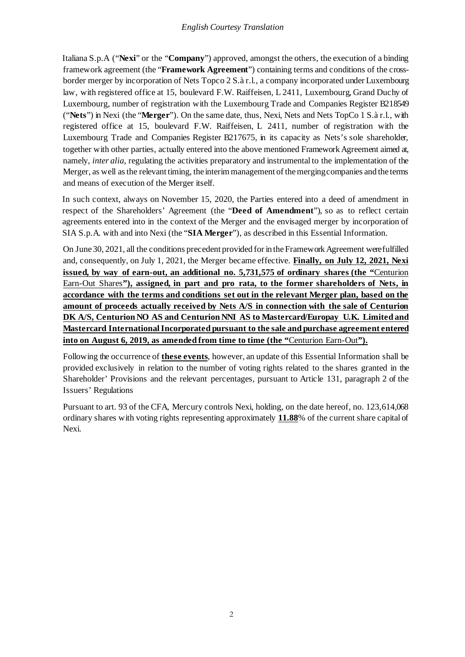Italiana S.p.A ("**Nexi**" or the "**Company**") approved, amongst the others, the execution of a binding framework agreement (the "**Framework Agreement**") containing terms and conditions of the crossborder merger by incorporation of Nets Topco 2 S.à r.l., a company incorporated under Luxembourg law, with registered office at 15, boulevard F.W. Raiffeisen, L 2411, Luxembourg, Grand Duchy of Luxembourg, number of registration with the Luxembourg Trade and Companies Register B218549 ("**Nets**") in Nexi (the "**Merger**"). On the same date, thus, Nexi, Nets and Nets TopCo 1 S.à r.l., with registered office at 15, boulevard F.W. Raiffeisen, L 2411, number of registration with the Luxembourg Trade and Companies Register B217675, in its capacity as Nets's sole shareholder, together with other parties, actually entered into the above mentioned Framework Agreement aimed at, namely, *inter alia*, regulating the activities preparatory and instrumental to the implementation of the Merger, as well as the relevant timing, the interim management of the merging companies and the terms and means of execution of the Merger itself.

In such context, always on November 15, 2020, the Parties entered into a deed of amendment in respect of the Shareholders' Agreement (the "**Deed of Amendment**"), so as to reflect certain agreements entered into in the context of the Merger and the envisaged merger by incorporation of SIA S.p.A. with and into Nexi (the "**SIA Merger**"), as described in this Essential Information.

On June 30, 2021, all the conditions precedent provided for in the Framework Agreement were fulfilled and, consequently, on July 1, 2021, the Merger became effective. **Finally, on July 12, 2021, Nexi issued, by way of earn-out, an additional no. 5,731,575 of ordinary shares (the "**Centurion Earn-Out Shares**"), assigned, in part and pro rata, to the former shareholders of Nets, in accordance with the terms and conditions set out in the relevant Merger plan, based on the amount of proceeds actually received by Nets A/S in connection with the sale of Centurion DK A/S, Centurion NO AS and Centurion NNI AS to Mastercard/Europay U.K. Limited and Mastercard International Incorporated pursuant to the sale and purchase agreement entered into on August 6, 2019, as amended from time to time (the "**Centurion Earn-Out**").**

Following the occurrence of **these events**, however, an update of this Essential Information shall be provided exclusively in relation to the number of voting rights related to the shares granted in the Shareholder' Provisions and the relevant percentages, pursuant to Article 131, paragraph 2 of the Issuers' Regulations

Pursuant to art. 93 of the CFA, Mercury controls Nexi, holding, on the date hereof, no. 123,614,068 ordinary shares with voting rights representing approximately **11.88**% of the current share capital of Nexi.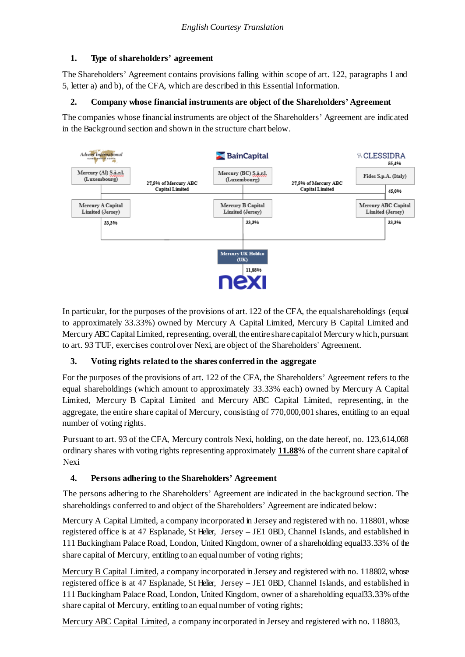### **1. Type of shareholders' agreement**

The Shareholders' Agreement contains provisions falling within scope of art. 122, paragraphs 1 and 5, letter a) and b), of the CFA, which are described in this Essential Information.

### **2. Company whose financial instruments are object of the Shareholders' Agreement**

The companies whose financial instruments are object of the Shareholders' Agreement are indicated in the Background section and shown in the structure chart below.



In particular, for the purposes of the provisions of art. 122 of the CFA, the equalshareholdings (equal to approximately 33.33%) owned by Mercury A Capital Limited, Mercury B Capital Limited and Mercury ABC Capital Limited, representing, overall, the entire share capital of Mercury which, pursuant to art. 93 TUF, exercises control over Nexi, are object of the Shareholders' Agreement.

## **3. Voting rights related to the shares conferred in the aggregate**

For the purposes of the provisions of art. 122 of the CFA, the Shareholders' Agreement refers to the equal shareholdings (which amount to approximately 33.33% each) owned by Mercury A Capital Limited, Mercury B Capital Limited and Mercury ABC Capital Limited, representing, in the aggregate, the entire share capital of Mercury, consisting of 770,000,001 shares, entitling to an equal number of voting rights.

Pursuant to art. 93 of the CFA, Mercury controls Nexi, holding, on the date hereof, no. 123,614,068 ordinary shares with voting rights representing approximately **11.88**% of the current share capital of Nexi

## **4. Persons adhering to the Shareholders' Agreement**

The persons adhering to the Shareholders' Agreement are indicated in the background section. The shareholdings conferred to and object of the Shareholders' Agreement are indicated below:

Mercury A Capital Limited, a company incorporated in Jersey and registered with no. 118801, whose registered office is at 47 Esplanade, St Helier, Jersey – JE1 0BD, Channel Islands, and established in 111 Buckingham Palace Road, London, United Kingdom, owner of a shareholding equal33.33% of the share capital of Mercury, entitling to an equal number of voting rights;

Mercury B Capital Limited, a company incorporated in Jersey and registered with no. 118802, whose registered office is at 47 Esplanade, St Helier, Jersey – JE1 0BD, Channel Islands, and established in 111 Buckingham Palace Road, London, United Kingdom, owner of a shareholding equal33.33% of the share capital of Mercury, entitling to an equal number of voting rights;

Mercury ABC Capital Limited, a company incorporated in Jersey and registered with no. 118803,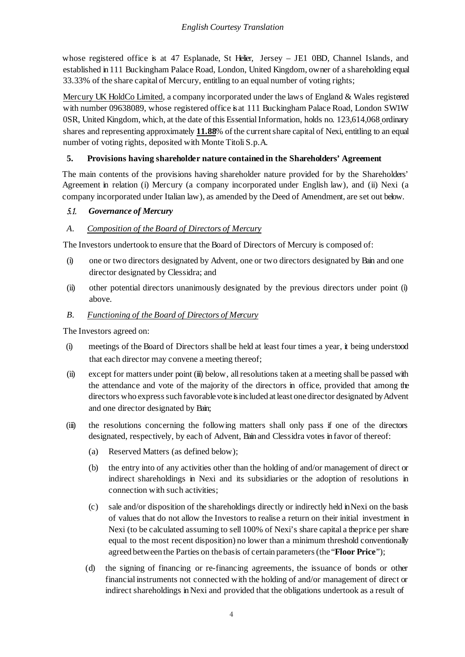whose registered office is at 47 Esplanade, St Helier, Jersey – JE1 0BD, Channel Islands, and established in 111 Buckingham Palace Road, London, United Kingdom, owner of a shareholding equal 33.33% of the share capital of Mercury, entitling to an equal number of voting rights;

Mercury UK HoldCo Limited, a company incorporated under the laws of England & Wales registered with number 09638089, whose registered office is at 111 Buckingham Palace Road, London SW1W 0SR, United Kingdom, which, at the date of this Essential Information, holds no. 123,614,068 ordinary shares and representing approximately **11.88**% of the current share capital of Nexi, entitling to an equal number of voting rights, deposited with Monte Titoli S.p.A.

### **5. Provisions having shareholder nature contained in the Shareholders' Agreement**

The main contents of the provisions having shareholder nature provided for by the Shareholders' Agreement in relation (i) Mercury (a company incorporated under English law), and (ii) Nexi (a company incorporated under Italian law), as amended by the Deed of Amendment, are set out below.

### 5.1. *Governance of Mercury*

### *A. Composition of the Board of Directors of Mercury*

The Investors undertook to ensure that the Board of Directors of Mercury is composed of:

- (i) one or two directors designated by Advent, one or two directors designated by Bain and one director designated by Clessidra; and
- (ii) other potential directors unanimously designated by the previous directors under point (i) above.

#### *B. Functioning of the Board of Directors of Mercury*

The Investors agreed on:

- (i) meetings of the Board of Directors shall be held at least four times a year, it being understood that each director may convene a meeting thereof;
- (ii) except for matters under point (iii) below, all resolutions taken at a meeting shall be passed with the attendance and vote of the majority of the directors in office, provided that among the directors who express such favorable vote is included at least one director designated by Advent and one director designated by Bain;
- (iii) the resolutions concerning the following matters shall only pass if one of the directors designated, respectively, by each of Advent, Bain and Clessidra votes in favor of thereof:
	- (a) Reserved Matters (as defined below);
	- (b) the entry into of any activities other than the holding of and/or management of direct or indirect shareholdings in Nexi and its subsidiaries or the adoption of resolutions in connection with such activities;
	- (c) sale and/or disposition of the shareholdings directly or indirectly held in Nexi on the basis of values that do not allow the Investors to realise a return on their initial investment in Nexi (to be calculated assuming to sell 100% of Nexi's share capital a the price per share equal to the most recent disposition) no lower than a minimum threshold conventionally agreed between the Parties on the basis of certain parameters(the "**Floor Price**");
	- (d) the signing of financing or re-financing agreements, the issuance of bonds or other financial instruments not connected with the holding of and/or management of direct or indirect shareholdings in Nexi and provided that the obligations undertook as a result of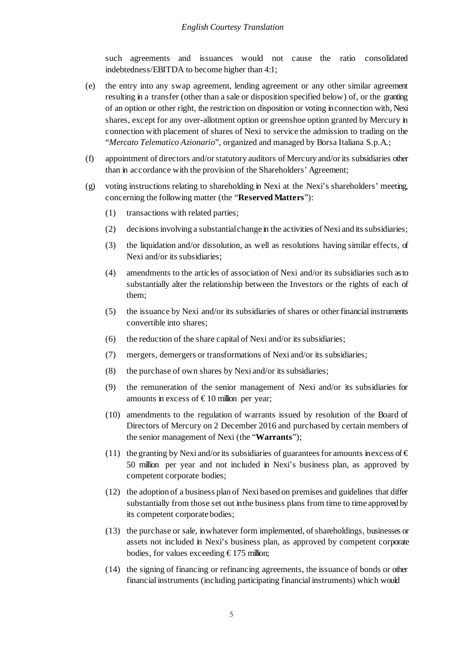such agreements and issuances would not cause the ratio consolidated indebtedness/EBITDA to become higher than 4:1;

- (e) the entry into any swap agreement, lending agreement or any other similar agreement resulting in a transfer (other than a sale or disposition specified below) of, or the granting of an option or other right, the restriction on disposition or voting in connection with, Nexi shares, except for any over-allotment option or greenshoe option granted by Mercury in connection with placement of shares of Nexi to service the admission to trading on the "*Mercato Telematico Azionario*", organized and managed by Borsa Italiana S.p.A.;
- (f) appointment of directors and/orstatutory auditors of Mercury and/or its subsidiaries other than in accordance with the provision of the Shareholders' Agreement;
- $(g)$  voting instructions relating to shareholding in Nexi at the Nexi's shareholders' meeting, concerning the following matter (the "**Reserved Matters**"):
	- (1) transactions with related parties;
	- (2) decisions involving a substantial change in the activities of Nexi and its subsidiaries;
	- (3) the liquidation and/or dissolution, as well as resolutions having similar effects, of Nexi and/or its subsidiaries;
	- (4) amendments to the articles of association of Nexi and/or its subsidiaries such as to substantially alter the relationship between the Investors or the rights of each of them;
	- (5) the issuance by Nexi and/or its subsidiaries of shares or other financial instruments convertible into shares;
	- (6) the reduction of the share capital of Nexi and/or its subsidiaries;
	- (7) mergers, demergers or transformations of Nexi and/or its subsidiaries;
	- (8) the purchase of own shares by Nexi and/or its subsidiaries;
	- (9) the remuneration of the senior management of Nexi and/or its subsidiaries for amounts in excess of  $\text{\textsterling}10$  million per year;
	- (10) amendments to the regulation of warrants issued by resolution of the Board of Directors of Mercury on 2 December 2016 and purchased by certain members of the senior management of Nexi (the "**Warrants**");
	- (11) the granting by Nexi and/or its subsidiaries of guarantees for amounts inexcess of  $\epsilon$ 50 million per year and not included in Nexi's business plan, as approved by competent corporate bodies;
	- (12) the adoption of a business plan of Nexi based on premises and guidelines that differ substantially from those set out in the business plans from time to time approved by its competent corporate bodies;
	- (13) the purchase or sale, in whatever form implemented, of shareholdings, businesses or assets not included in Nexi's business plan*,* as approved by competent corporate bodies, for values exceeding  $\epsilon$ 175 million;
	- (14) the signing of financing or refinancing agreements, the issuance of bonds or other financial instruments (including participating financial instruments) which would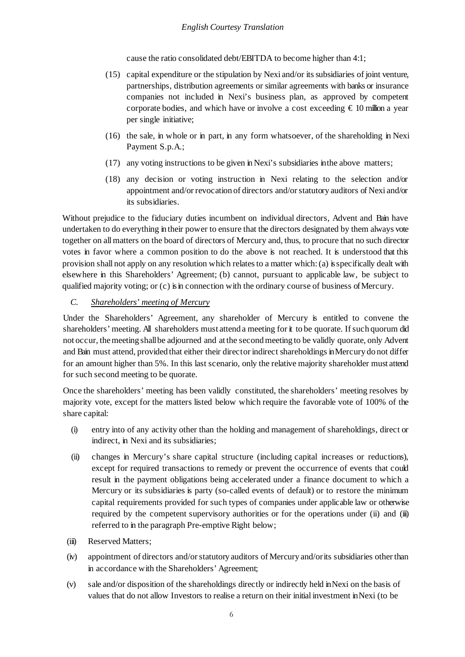cause the ratio consolidated debt/EBITDA to become higher than 4:1;

- (15) capital expenditure or the stipulation by Nexi and/or its subsidiaries of joint venture, partnerships, distribution agreements or similar agreements with banks or insurance companies not included in Nexi's business plan, as approved by competent corporate bodies, and which have or involve a cost exceeding  $\epsilon$  10 million a year per single initiative;
- (16) the sale, in whole or in part, in any form whatsoever, of the shareholding in Nexi Payment S.p.A.;
- (17) any voting instructions to be given in Nexi's subsidiaries in the above matters;
- (18) any decision or voting instruction in Nexi relating to the selection and/or appointment and/or revocation of directors and/orstatutory auditors of Nexi and/or its subsidiaries.

Without prejudice to the fiduciary duties incumbent on individual directors, Advent and Bain have undertaken to do everything in their power to ensure that the directors designated by them always vote together on all matters on the board of directors of Mercury and, thus, to procure that no such director votes in favor where a common position to do the above is not reached. It is understood that this provision shall not apply on any resolution which relates to a matter which: (a) isspecifically dealt with elsewhere in this Shareholders' Agreement; (b) cannot, pursuant to applicable law, be subject to qualified majority voting; or (c) is in connection with the ordinary course of business of Mercury.

# *C. Shareholders' meeting of Mercury*

Under the Shareholders' Agreement, any shareholder of Mercury is entitled to convene the shareholders' meeting. All shareholders must attend a meeting for it to be quorate. If such quorum did not occur, themeeting shallbe adjourned and at the secondmeeting to be validly quorate, only Advent and Bain must attend, provided that either their direct or indirect shareholdings in Mercury do not differ for an amount higher than 5%. In this last scenario, only the relative majority shareholder must attend for such second meeting to be quorate.

Once the shareholders' meeting has been validly constituted, the shareholders' meeting resolves by majority vote, except for the matters listed below which require the favorable vote of 100% of the share capital:

- (i) entry into of any activity other than the holding and management of shareholdings, direct or indirect, in Nexi and its subsidiaries;
- (ii) changes in Mercury's share capital structure (including capital increases or reductions), except for required transactions to remedy or prevent the occurrence of events that could result in the payment obligations being accelerated under a finance document to which a Mercury or its subsidiaries is party (so-called events of default) or to restore the minimum capital requirements provided for such types of companies under applicable law or otherwise required by the competent supervisory authorities or for the operations under (ii) and (iii) referred to in the paragraph Pre-emptive Right below;
- (iii) Reserved Matters;
- (iv) appointment of directors and/orstatutory auditors of Mercury and/orits subsidiaries other than in accordance with the Shareholders' Agreement;
- (v) sale and/or disposition of the shareholdings directly or indirectly held in Nexi on the basis of values that do not allow Investors to realise a return on their initial investment inNexi (to be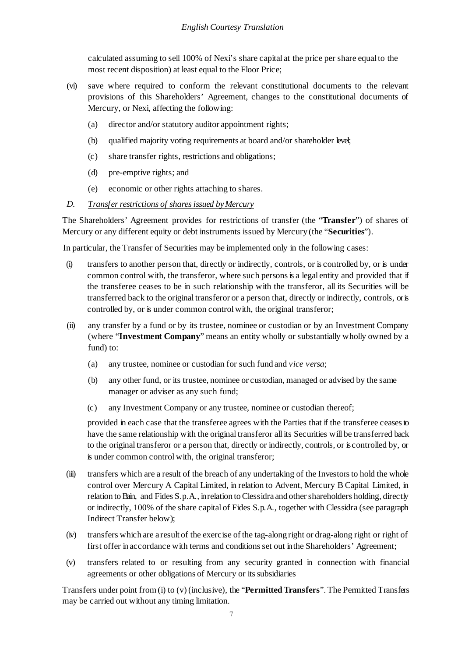calculated assuming to sell 100% of Nexi's share capital at the price per share equal to the most recent disposition) at least equal to the Floor Price;

- (vi) save where required to conform the relevant constitutional documents to the relevant provisions of this Shareholders' Agreement, changes to the constitutional documents of Mercury, or Nexi, affecting the following:
	- (a) director and/or statutory auditor appointment rights;
	- (b) qualified majority voting requirements at board and/or shareholder level;
	- (c) share transfer rights, restrictions and obligations;
	- (d) pre-emptive rights; and
	- (e) economic or other rights attaching to shares.
- *D. Transfer restrictions of shares issued byMercury*

The Shareholders' Agreement provides for restrictions of transfer (the "**Transfer**") of shares of Mercury or any different equity or debt instruments issued by Mercury (the "**Securities**").

In particular, the Transfer of Securities may be implemented only in the following cases:

- (i) transfers to another person that, directly or indirectly, controls, or is controlled by, or is under common control with, the transferor, where such persons is a legal entity and provided that if the transferee ceases to be in such relationship with the transferor, all its Securities will be transferred back to the original transferor or a person that, directly or indirectly, controls, or is controlled by, or is under common control with, the original transferor;
- (ii) any transfer by a fund or by its trustee, nominee or custodian or by an Investment Company (where "**Investment Company**" means an entity wholly or substantially wholly owned by a fund) to:
	- (a) any trustee, nominee or custodian for such fund and *vice versa*;
	- (b) any other fund, or its trustee, nominee or custodian, managed or advised by the same manager or adviser as any such fund;
	- (c) any Investment Company or any trustee, nominee or custodian thereof;

provided in each case that the transferee agrees with the Parties that if the transferee ceases to have the same relationship with the original transferor all its Securities will be transferred back to the original transferor or a person that, directly or indirectly, controls, or is controlled by, or is under common control with, the original transferor;

- (iii) transfers which are a result of the breach of any undertaking of the Investors to hold the whole control over Mercury A Capital Limited, in relation to Advent, Mercury B Capital Limited, in relation to Bain, and Fides S.p.A., in relation to Clessidra and other shareholders holding, directly or indirectly, 100% of the share capital of Fides S.p.A., together with Clessidra (see paragraph Indirect Transfer below);
- (iv) transfers which are a result of the exercise of the tag-along right or drag-along right or right of first offer in accordance with terms and conditions set out in the Shareholders' Agreement;
- (v) transfers related to or resulting from any security granted in connection with financial agreements or other obligations of Mercury or its subsidiaries

Transfers under point from (i) to (v) (inclusive), the "**Permitted Transfers**". The Permitted Transfers may be carried out without any timing limitation.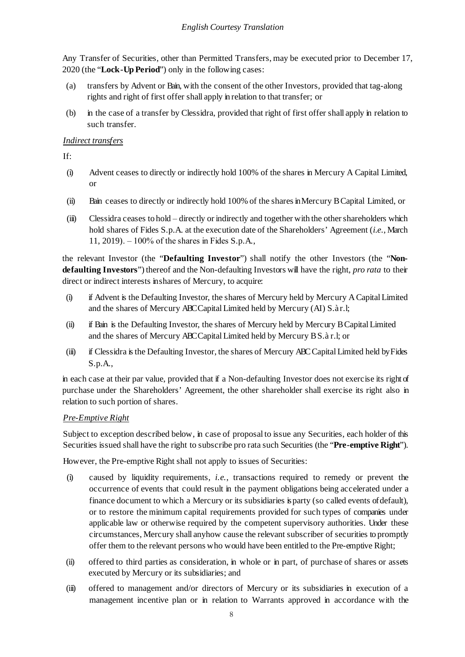Any Transfer of Securities, other than Permitted Transfers, may be executed prior to December 17, 2020 (the "**Lock-Up Period**") only in the following cases:

- (a) transfers by Advent or Bain, with the consent of the other Investors, provided that tag-along rights and right of first offer shall apply in relation to that transfer; or
- (b) in the case of a transfer by Clessidra, provided that right of first offer shall apply in relation to such transfer.

#### *Indirect transfers*

 $If<sup>+</sup>$ 

- (i) Advent ceases to directly or indirectly hold 100% of the shares in Mercury A Capital Limited, or
- (ii) Bain ceases to directly or indirectly hold 100% of the shares in Mercury BCapital Limited, or
- (iii) Clessidra ceases to hold directly or indirectly and together with the other shareholders which hold shares of Fides S.p.A. at the execution date of the Shareholders' Agreement (*i.e*., March 11, 2019). ‒ 100% of the shares in Fides S.p.A.,

the relevant Investor (the "**Defaulting Investor**") shall notify the other Investors (the "**Nondefaulting Investors**") thereof and the Non-defaulting Investors will have the right, *pro rata* to their direct or indirect interests in shares of Mercury, to acquire:

- (i) if Advent is the Defaulting Investor, the shares of Mercury held by Mercury A Capital Limited and the shares of Mercury ABC Capital Limited held by Mercury (AI) S.àr.l;
- (ii) if Bain is the Defaulting Investor, the shares of Mercury held by Mercury BCapital Limited and the shares of Mercury ABC Capital Limited held by Mercury B S.à r.l; or
- (iii) if Clessidra is the Defaulting Investor, the shares of Mercury ABC Capital Limited held byFides S.p.A.,

in each case at their par value, provided that if a Non-defaulting Investor does not exercise its right of purchase under the Shareholders' Agreement, the other shareholder shall exercise its right also in relation to such portion of shares.

## *Pre-Emptive Right*

Subject to exception described below, in case of proposal to issue any Securities, each holder of this Securities issued shall have the right to subscribe pro rata such Securities (the "**Pre-emptive Right**").

However, the Pre-emptive Right shall not apply to issues of Securities:

- (i) caused by liquidity requirements, *i.e.*, transactions required to remedy or prevent the occurrence of events that could result in the payment obligations being accelerated under a finance document to which a Mercury or its subsidiaries is party (so called events of default), or to restore the minimum capital requirements provided for such types of companies under applicable law or otherwise required by the competent supervisory authorities. Under these circumstances, Mercury shall anyhow cause the relevant subscriber of securities to promptly offer them to the relevant persons who would have been entitled to the Pre-emptive Right;
- (ii) offered to third parties as consideration, in whole or in part, of purchase of shares or assets executed by Mercury or its subsidiaries; and
- (iii) offered to management and/or directors of Mercury or its subsidiaries in execution of a management incentive plan or in relation to Warrants approved in accordance with the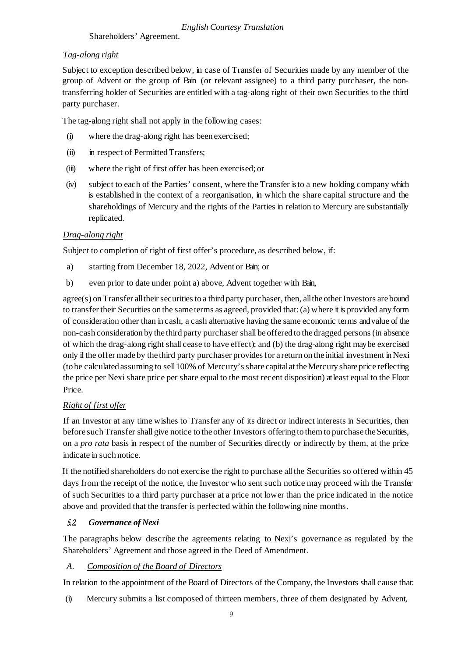Shareholders' Agreement.

### *Tag-along right*

Subject to exception described below, in case of Transfer of Securities made by any member of the group of Advent or the group of Bain (or relevant assignee) to a third party purchaser, the nontransferring holder of Securities are entitled with a tag-along right of their own Securities to the third party purchaser.

The tag-along right shall not apply in the following cases:

- (i) where the drag-along right has been exercised;
- (ii) in respect of Permitted Transfers;
- (iii) where the right of first offer has been exercised; or
- (iv) subject to each of the Parties' consent, where the Transfer is to a new holding company which is established in the context of a reorganisation, in which the share capital structure and the shareholdings of Mercury and the rights of the Parties in relation to Mercury are substantially replicated.

### *Drag-along right*

Subject to completion of right of first offer's procedure, as described below, if:

- a) starting from December 18, 2022, Advent or Bain; or
- b) even prior to date under point a) above, Advent together with Bain,

agree(s) on Transfer all their securities to a third party purchaser, then, all the other Investors are bound to transfer their Securities on the same terms as agreed, provided that: (a) where it is provided any form of consideration other than in cash, a cash alternative having the same economic terms and value of the non-cash consideration by the third party purchaser shall be offered to the dragged persons (in absence of which the drag-along right shall cease to have effect); and (b) the drag-along right may be exercised only if the offer made by the third party purchaser provides for a return on the initial investment in Nexi (to be calculated assuming to sell 100% of Mercury's share capital at the Mercury share price reflecting the price per Nexi share price per share equal to the most recent disposition) at least equal to the Floor Price.

#### *Right of first offer*

If an Investor at any time wishes to Transfer any of its direct or indirect interests in Securities, then before such Transfer shall give notice to the other Investors offering to them to purchase the Securities, on a *pro rata* basis in respect of the number of Securities directly or indirectly by them, at the price indicate in such notice.

If the notified shareholders do not exercise the right to purchase all the Securities so offered within 45 days from the receipt of the notice, the Investor who sent such notice may proceed with the Transfer of such Securities to a third party purchaser at a price not lower than the price indicated in the notice above and provided that the transfer is perfected within the following nine months.

## 5.2. *Governance of Nexi*

The paragraphs below describe the agreements relating to Nexi's governance as regulated by the Shareholders' Agreement and those agreed in the Deed of Amendment.

### *A. Composition of the Board of Directors*

In relation to the appointment of the Board of Directors of the Company, the Investors shall cause that:

(i) Mercury submits a list composed of thirteen members, three of them designated by Advent,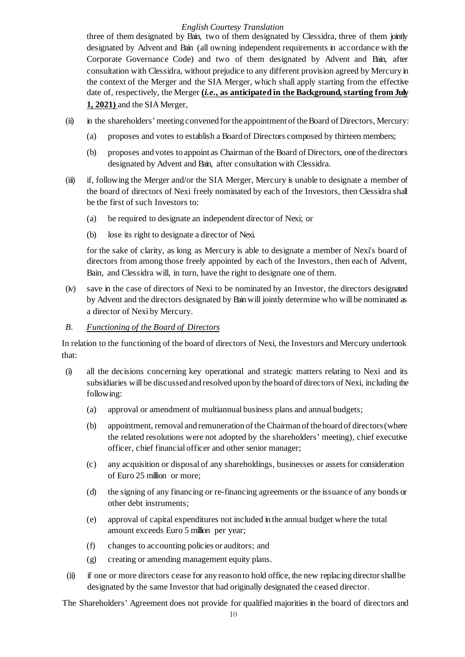three of them designated by Bain, two of them designated by Clessidra, three of them jointly designated by Advent and Bain (all owning independent requirements in accordance with the Corporate Governance Code) and two of them designated by Advent and Bain, after consultation with Clessidra, without prejudice to any different provision agreed by Mercury in the context of the Merger and the SIA Merger, which shall apply starting from the effective date of, respectively, the Merger **(***i.e***., as anticipated in the Background, starting from July 1, 2021)** and the SIAMerger,

- (ii) in the shareholders' meeting convened for the appointment of theBoard of Directors, Mercury:
	- (a) proposes and votes to establish a Board of Directors composed by thirteen members;
	- (b) proposes and votes to appoint as Chairman of the Board of Directors, one of the directors designated by Advent and Bain, after consultation with Clessidra.
- (iii) if, following the Merger and/or the SIA Merger, Mercury is unable to designate a member of the board of directors of Nexi freely nominated by each of the Investors, then Clessidra shall be the first of such Investors to:
	- (a) be required to designate an independent director of Nexi; or
	- (b) lose its right to designate a director of Nexi.

for the sake of clarity, as long as Mercury is able to designate a member of Nexi's board of directors from among those freely appointed by each of the Investors, then each of Advent, Bain, and Clessidra will, in turn, have the right to designate one of them.

- (iv) save in the case of directors of Nexi to be nominated by an Investor, the directors designated by Advent and the directors designated by Bain will jointly determine who will be nominated as a director of Nexi by Mercury.
- *B. Functioning of the Board of Directors*

In relation to the functioning of the board of directors of Nexi, the Investors and Mercury undertook that:

- (i) all the decisions concerning key operational and strategic matters relating to Nexi and its subsidiaries will be discussed and resolved upon by the board of directors of Nexi, including the following:
	- (a) approval or amendment of multiannual business plans and annual budgets;
	- (b) appointment, removal and remuneration of the Chairman of the board of directors (where the related resolutions were not adopted by the shareholders' meeting), chief executive officer, chief financial officer and other senior manager;
	- (c) any acquisition or disposal of any shareholdings, businesses or assets for consideration of Euro 25 million or more;
	- (d) the signing of any financing or re-financing agreements or the issuance of any bonds or other debt instruments;
	- (e) approval of capital expenditures not included in the annual budget where the total amount exceeds Euro 5 million per year;
	- (f) changes to accounting policies or auditors; and
	- (g) creating or amending management equity plans.
- (ii) if one or more directors cease for any reason to hold office, the new replacing directorshallbe designated by the same Investor that had originally designated the ceased director.

The Shareholders' Agreement does not provide for qualified majorities in the board of directors and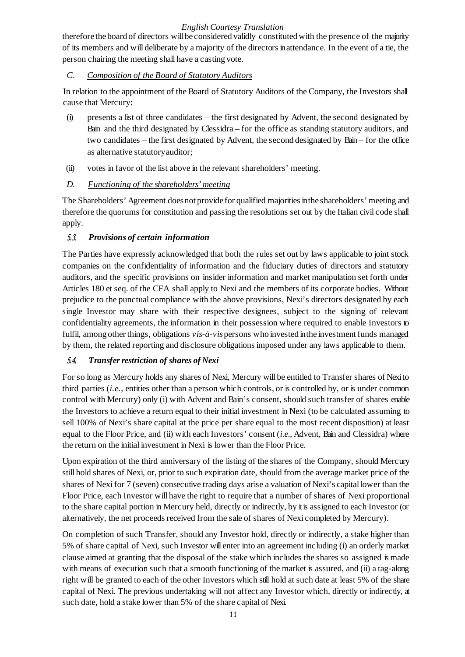therefore the board of directors willbe considered validly constitutedwith the presence of the majority of its members and will deliberate by a majority of the directors in attendance. In the event of a tie, the person chairing the meeting shall have a casting vote.

### *C. Composition of the Board of Statutory Auditors*

In relation to the appointment of the Board of Statutory Auditors of the Company, the Investors shall cause that Mercury:

- (i) presents a list of three candidates the first designated by Advent, the second designated by Bain and the third designated by Clessidra – for the office as standing statutory auditors, and two candidates – the first designated by Advent, the second designated by Bain – for the office as alternative statutoryauditor;
- (ii) votes in favor of the list above in the relevant shareholders' meeting.

### *D. Functioning of the shareholders' meeting*

The Shareholders' Agreement does not provide for qualified majorities in the shareholders' meeting and therefore the quorums for constitution and passing the resolutions set out by the Italian civil code shall apply.

## 5.3. *Provisions of certain information*

The Parties have expressly acknowledged that both the rules set out by laws applicable to joint stock companies on the confidentiality of information and the fiduciary duties of directors and statutory auditors, and the specific provisions on insider information and market manipulation set forth under Articles 180 et seq. of the CFA shall apply to Nexi and the members of its corporate bodies. Without prejudice to the punctual compliance with the above provisions, Nexi's directors designated by each single Investor may share with their respective designees, subject to the signing of relevant confidentiality agreements, the information in their possession where required to enable Investors to fulfil, among other things, obligations *vis-à-vis* persons who invested in the investment funds managed by them, the related reporting and disclosure obligationsimposed under any laws applicable to them.

## 5.4. *Transfer restriction of shares of Nexi*

For so long as Mercury holds any shares of Nexi, Mercury will be entitled to Transfer shares of Nexi to third parties (*i.e.*, entities other than a person which controls, or is controlled by, or is under common control with Mercury) only (i) with Advent and Bain's consent, should such transfer of shares enable the Investors to achieve a return equal to their initial investment in Nexi (to be calculated assuming to sell 100% of Nexi's share capital at the price per share equal to the most recent disposition) at least equal to the Floor Price, and (ii) with each Investors' consent (*i.e.*, Advent, Bain and Clessidra) where the return on the initial investment in Nexi is lower than the Floor Price.

Upon expiration of the third anniversary of the listing of the shares of the Company, should Mercury still hold shares of Nexi, or, prior to such expiration date, should from the average market price of the shares of Nexi for 7 (seven) consecutive trading days arise a valuation of Nexi's capital lower than the Floor Price, each Investor will have the right to require that a number of shares of Nexi proportional to the share capital portion in Mercury held, directly or indirectly, by it is assigned to each Investor (or alternatively, the net proceeds received from the sale of shares of Nexi completed by Mercury).

On completion of such Transfer, should any Investor hold, directly or indirectly, a stake higher than 5% of share capital of Nexi, such Investor will enter into an agreement including (i) an orderly market clause aimed at granting that the disposal of the stake which includes the shares so assigned is made with means of execution such that a smooth functioning of the market is assured, and (ii) a tag-along right will be granted to each of the other Investors which still hold at such date at least 5% of the share capital of Nexi. The previous undertaking will not affect any Investor which, directly or indirectly, at such date, hold a stake lower than 5% of the share capital of Nexi.